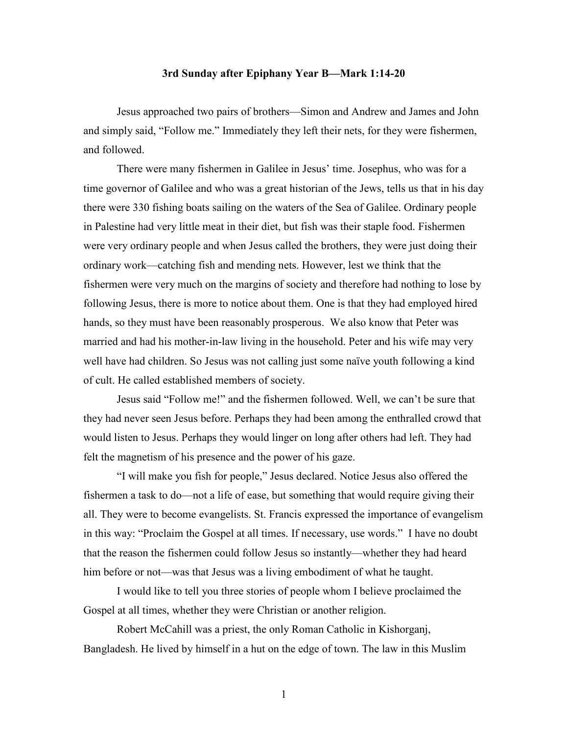## **3rd Sunday after Epiphany Year B—Mark 1:14-20**

Jesus approached two pairs of brothers—Simon and Andrew and James and John and simply said, "Follow me." Immediately they left their nets, for they were fishermen, and followed.

There were many fishermen in Galilee in Jesus' time. Josephus, who was for a time governor of Galilee and who was a great historian of the Jews, tells us that in his day there were 330 fishing boats sailing on the waters of the Sea of Galilee. Ordinary people in Palestine had very little meat in their diet, but fish was their staple food. Fishermen were very ordinary people and when Jesus called the brothers, they were just doing their ordinary work—catching fish and mending nets. However, lest we think that the fishermen were very much on the margins of society and therefore had nothing to lose by following Jesus, there is more to notice about them. One is that they had employed hired hands, so they must have been reasonably prosperous. We also know that Peter was married and had his mother-in-law living in the household. Peter and his wife may very well have had children. So Jesus was not calling just some naïve youth following a kind of cult. He called established members of society.

Jesus said "Follow me!" and the fishermen followed. Well, we can't be sure that they had never seen Jesus before. Perhaps they had been among the enthralled crowd that would listen to Jesus. Perhaps they would linger on long after others had left. They had felt the magnetism of his presence and the power of his gaze.

"I will make you fish for people," Jesus declared. Notice Jesus also offered the fishermen a task to do—not a life of ease, but something that would require giving their all. They were to become evangelists. St. Francis expressed the importance of evangelism in this way: "Proclaim the Gospel at all times. If necessary, use words." I have no doubt that the reason the fishermen could follow Jesus so instantly—whether they had heard him before or not—was that Jesus was a living embodiment of what he taught.

I would like to tell you three stories of people whom I believe proclaimed the Gospel at all times, whether they were Christian or another religion.

Robert McCahill was a priest, the only Roman Catholic in Kishorganj, Bangladesh. He lived by himself in a hut on the edge of town. The law in this Muslim

1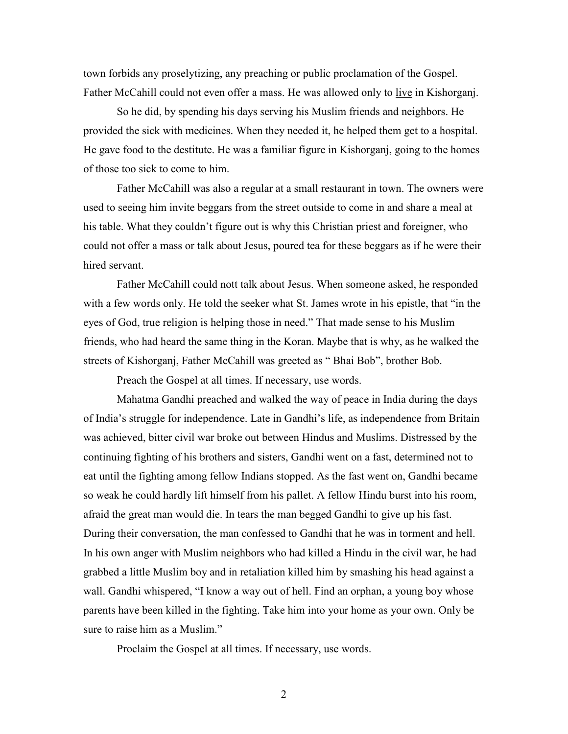town forbids any proselytizing, any preaching or public proclamation of the Gospel. Father McCahill could not even offer a mass. He was allowed only to live in Kishorganj.

So he did, by spending his days serving his Muslim friends and neighbors. He provided the sick with medicines. When they needed it, he helped them get to a hospital. He gave food to the destitute. He was a familiar figure in Kishorganj, going to the homes of those too sick to come to him.

Father McCahill was also a regular at a small restaurant in town. The owners were used to seeing him invite beggars from the street outside to come in and share a meal at his table. What they couldn't figure out is why this Christian priest and foreigner, who could not offer a mass or talk about Jesus, poured tea for these beggars as if he were their hired servant.

Father McCahill could nott talk about Jesus. When someone asked, he responded with a few words only. He told the seeker what St. James wrote in his epistle, that "in the eyes of God, true religion is helping those in need." That made sense to his Muslim friends, who had heard the same thing in the Koran. Maybe that is why, as he walked the streets of Kishorganj, Father McCahill was greeted as " Bhai Bob", brother Bob.

Preach the Gospel at all times. If necessary, use words.

Mahatma Gandhi preached and walked the way of peace in India during the days of India's struggle for independence. Late in Gandhi's life, as independence from Britain was achieved, bitter civil war broke out between Hindus and Muslims. Distressed by the continuing fighting of his brothers and sisters, Gandhi went on a fast, determined not to eat until the fighting among fellow Indians stopped. As the fast went on, Gandhi became so weak he could hardly lift himself from his pallet. A fellow Hindu burst into his room, afraid the great man would die. In tears the man begged Gandhi to give up his fast. During their conversation, the man confessed to Gandhi that he was in torment and hell. In his own anger with Muslim neighbors who had killed a Hindu in the civil war, he had grabbed a little Muslim boy and in retaliation killed him by smashing his head against a wall. Gandhi whispered, "I know a way out of hell. Find an orphan, a young boy whose parents have been killed in the fighting. Take him into your home as your own. Only be sure to raise him as a Muslim."

Proclaim the Gospel at all times. If necessary, use words.

2